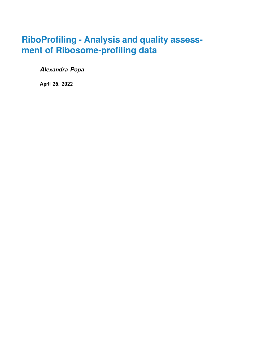# **RiboProfiling - Analysis and quality assessment of Ribosome-profiling data**

**Alexandra Popa**

**April 26, 2022**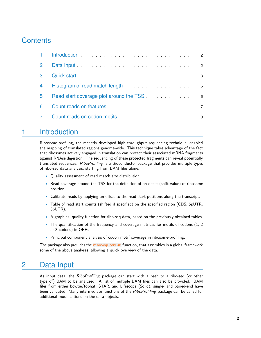# **Contents**

| $\mathbf{2}$ |                                                                                                                                                                                                                                |  |
|--------------|--------------------------------------------------------------------------------------------------------------------------------------------------------------------------------------------------------------------------------|--|
| 3            | Quick start 3                                                                                                                                                                                                                  |  |
| 4            |                                                                                                                                                                                                                                |  |
| 5.           | Read start coverage plot around the TSS expression of the SS and the TSS of the start of the SS and S                                                                                                                          |  |
| 6            | Count reads on features entertainment of the state of the state of the state of the state of the state of the state of the state of the state of the state of the state of the state of the state of the state of the state of |  |
|              |                                                                                                                                                                                                                                |  |

#### <span id="page-1-0"></span>1 Introduction

Ribosome profiling, the recently developed high throughput sequencing technique, enabled the mapping of translated regions genome-wide. This technique takes advantage of the fact that ribosomes actively engaged in translation can protect their associated mRNA fragments against RNAse digestion. The sequencing of these protected fragments can reveal potentially translated sequences. RiboProfiling is a Bioconductor package that provides multiple types of ribo-seq data analysis, starting from BAM files alone:

- Quality assessment of read match size distribution.
- Read coverage around the TSS for the definition of an offset (shift value) of ribosome position.
- Calibrate reads by applying an offset to the read start positions along the transcript.
- Table of read start counts (shifted if specified) on the specified region (CDS, 5pUTR, 3pUTR).
- A graphical quality function for ribo-seq data, based on the previously obtained tables.
- The quantification of the frequency and coverage matrices for motifs of codons (1, 2 or 3 codons) in ORFs.
- Principal component analysis of codon motif coverage in ribosome-profiling.

<span id="page-1-1"></span>The package also provides the riboSeqFromBAM function, that assembles in a global framework some of the above analyses, allowing a quick overview of the data.

#### 2 Data Input

As input data, the RiboProfiling package can start with a path to a ribo-seq (or other type of) BAM to be analyzed. A list of multiple BAM files can also be provided. BAM files from either bowtie/tophat, STAR, and Lifescope (Solid), single- and paired-end have been validated. Many intermediate functions of the RiboProfiling package can be called for additional modifications on the data objects.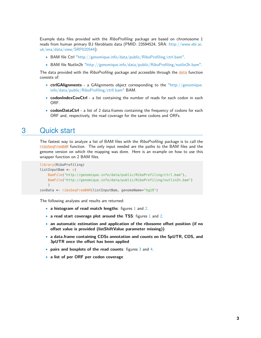Example data files provided with the RiboProfiling package are based on chromosome 1 reads from human primary BJ fibroblasts data (PMID: 23594524, SRA: [http://www.ebi.ac.](http://www.ebi.ac.uk/ena/data/view/SRP020544) [uk/ena/data/view/SRP020544\)](http://www.ebi.ac.uk/ena/data/view/SRP020544):

- BAM file Ctrl ["http://genomique.info/data/public/RiboProfiling/ctrl.bam".]("http://genomique.info/data/public/RiboProfiling/ctrl.bam")
- BAM file Nutlin2h ["http://genomique.info/data/public/RiboProfiling/nutlin2h.bam".]("http://genomique.info/data/public/RiboProfiling/nutlin2h.bam")

The data provided with the RiboProfiling package and accessible through the data function consists of:

- **ctrlGAlignments** a GAlignments object corresponding to the ["http://genomique.]("http://genomique.info/data/public/RiboProfiling/ctrll.bam") [info/data/public/RiboProfiling/ctrll.bam"]("http://genomique.info/data/public/RiboProfiling/ctrll.bam") BAM.
- **codonIndexCovCtrl** a list containing the number of reads for each codon in each ORF.
- <span id="page-2-0"></span>• **codonDataCtrl** - a list of 2 data.frames containing the frequency of codons for each ORF and, respectively, the read coverage for the same codons and ORFs.

#### 3 Quick start

The fastest way to analyze a list of BAM files with the RiboProfiling package is to call the riboSeqFromBAM function. The only input needed are the paths to the BAM files and the genome version on which the mapping was done. Here is an example on how to use this wrapper function on 2 BAM files.

```
library(RiboProfiling)
listInputBam <- c(
    BamFile("http://genomique.info/data/public/RiboProfiling/ctrl.bam"),
    BamFile("http://genomique.info/data/public/RiboProfiling/nutlin2h.bam")
    \lambdacovData <- riboSeqFromBAM(listInputBam, genomeName="hg19")
```
The following analyses and results are returned:

- **a histogram of read match lengths**: figures [1](#page-3-0) and [2.](#page-3-1)
- **a read start coverage plot around the TSS**: figures [1](#page-3-0) and [2.](#page-3-1)
- **an automatic estimation and application of the ribosome offset position (if no offset value is provided (listShiftValue parameter missing))**
- **a data.frame containing CDSs annotation and counts on the 5pUTR, CDS, and 3pUTR once the offset has been applied**
- **pairs and boxplots of the read counts**: figures [3](#page-3-2) and [4.](#page-4-2)
- **a list of per ORF per codon coverage**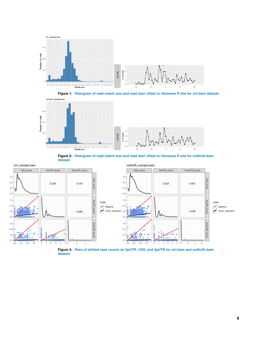

<span id="page-3-0"></span>**Figure 1: Histogram of read match size and read start offset to ribosome P-site for ctrl.bam dataset.**



<span id="page-3-1"></span>**Figure 2: Histogram of read match size and read start offset to ribosome P-site for nutlin2h.bam dataset.**



<span id="page-3-2"></span>**dataset.**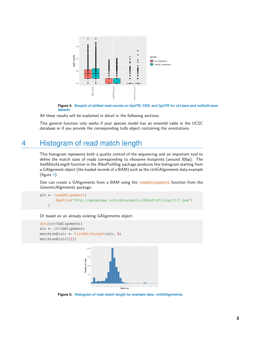

<span id="page-4-2"></span>**Figure 4: Boxplot of shifted read counts on 5pUTR, CDS, and 3pUTR for ctrl.bam and nutlin2h.bam dataset.**

All these results will be explained in detail in the following sections.

<span id="page-4-0"></span>This general function only works if your species model has an ensembl table in the UCSC database or if you provide the corresponding txdb object containing the annotations.

### 4 Histogram of read match length

This histogram represents both a quality control of the sequencing and an important tool to define the match sizes of reads corresponding to ribosome footprints (around 30bp). The histMatchLength function in the RiboProfiling package produces this histogram starting from a GAlignment object (the loaded records of a BAM) such as the *ctrlGAlignments* data example (figure [5\)](#page-4-3).

One can create a GAlignments from a BAM using the readGAlignments function from the GenomicAlignments package:

```
aln < readGAlignments(
       BamFile("http://genomique.info/data/public/RiboProfiling/ctrl.bam")
    )
```
Or based on an already existing GAlignments object:

```
data(ctrlGAlignments)
aln <- ctrlGAlignments
matchLenDistr <- histMatchLength(aln, 0)
matchLenDistr[[2]]
```


<span id="page-4-3"></span><span id="page-4-1"></span>**Figure 5: Histogram of read match length for example data: ctrlGAlignments.**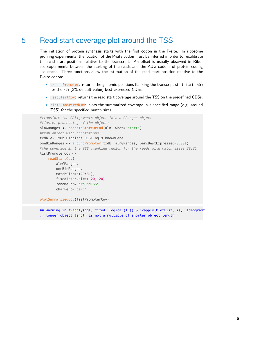## 5 Read start coverage plot around the TSS

The initiation of protein synthesis starts with the first codon in the P-site. In ribosome profiling experiments, the location of the P-site codon must be inferred in order to recalibrate the read start positions relative to the transcript. An offset is usually observed in Riboseq experiments between the starting of the reads and the AUG codons of protein coding sequences. Three functions allow the estimation of the read start position relative to the P-site codon:

- aroundPromoter: returns the genomic positions flanking the transcript start site (TSS) for the  $x\%$  (3% default value) best expressed CDSs.
- readStartCov: returns the read start coverage around the TSS on the predefined CDSs.
- plotSummarizedCov: plots the summarized coverage in a specified range (e.g. around TSS) for the specified match sizes.

```
#transform the GAlignments object into a GRanges object
#(faster processing of the object)
alnGRanges <- readsToStartOrEnd(aln, what="start")
#txdb object with annotations
txdb <- TxDb.Hsapiens.UCSC.hg19.knownGene
oneBinRanges <- aroundPromoter(txdb, alnGRanges, percBestExpressed=0.001)
#the coverage in the TSS flanking region for the reads with match sizes 29:31
listPromoterCov <-
    readStartCov(
        alnGRanges,
        oneBinRanges,
        matchSize=c(29:31),
        fixedInterval=c(-20, 20),
        renameChr="aroundTSS",
        charPerc="perc"
    )
plotSummarizedCov(listPromoterCov)
```
## Warning in !vapply(ggl, fixed, logical(1L)) & !vapply(PlotList, is, "Ideogram", : longer object length is not a multiple of shorter object length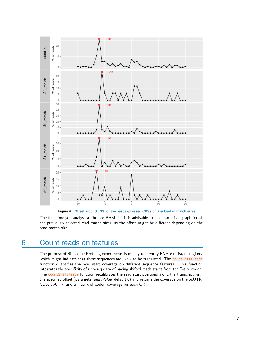

**Figure 6: Offset around TSS for the best expressed CDSs on a subset of match sizes.**

<span id="page-6-0"></span>The first time you analyse a ribo-seq BAM file, it is advisable to make an offset graph for all the previously selected read match sizes, as the offset might be different depending on the read match size .

# 6 Count reads on features

The purpose of Ribosome Profiling experiments is mainly to identify RNAse resistant regions, which might indicate that these sequences are likely to be translated. The countShiftReads function quantifies the read start coverage on different sequence features. This function integrates the specificity of ribo-seq data of having shifted reads starts from the P-site codon. The countShiftReads function recalibrates the read start positions along the transcript with the specified offset (parameter shiftValue, default 0) and returns the coverage on the 5pUTR, CDS, 3pUTR, and a matrix of codon coverage for each ORF.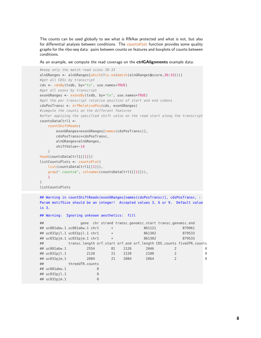The counts can be used globally to see what is RNAse protected and what is not, but also for differential analysis between conditions. The countsPlot function provides some quality graphs for the ribo-seq data: pairs between counts on features and boxplots of counts between conditions.

As an example, we compute the read coverage on the **ctrlGAlignments** example data:

```
#keep only the match read sizes 30-33
alnGRanges <- alnGRanges[which(!is.na(match(alnGRanges$score,30:33)))]
#get all CDSs by transcript
cds <- cdsBy(txdb, by="tx", use.names=TRUE)
#get all exons by transcript
exonGRanges <- exonsBy(txdb, by="tx", use.names=TRUE)
#get the per transcript relative position of start and end codons
cdsPosTransc <- orfRelativePos(cds, exonGRanges)
#compute the counts on the different features
#after applying the specified shift value on the read start along the transcript
countsDataCtrl1 <-
    countShiftReads(
        exonGRanges=exonGRanges[names(cdsPosTransc)],
        cdsPosTransc=cdsPosTransc,
        alnGRanges=alnGRanges,
        shiftValue=-14
    \lambdahead(countsDataCtrl1[[1]])
listCountsPlots <- countsPlot(
    list(countsDataCtrl1[[1]]),
    grep("_counts$", colnames(countsDataCtrl1[[1]])),
    1
)
listCountsPlots
```
## Warning in countShiftReads(exonGRanges[names(cdsPosTransc)], cdsPosTransc, : Param motifSize should be an integer! Accepted values 3, 6 or 9. Default value is 3.

```
## Warning: Ignoring unknown aesthetics: fill
## gene chr strand transc_genomic_start transc_genomic_end
## uc001abw.1 uc001abw.1 chr1 + 861121 879961
## uc031pjl.1 uc031pjl.1 chr1 + 861302 879533
## uc031pjm.1 uc031pjm.1 chr1 + 861302 879533
## transc_length orf_start orf_end orf_length CDS_counts fiveUTR_counts
## uc001abw.1 2554 81 2126 2046 2 0
## uc031pjl.1 2120 21 2120 2100 2 0
## uc031pjm.1 2084 21 2084 2064 2 0
## threeUTR_counts
## uc001abw.1 0
## uc031pjl.1 0
## uc031pjm.1 0
```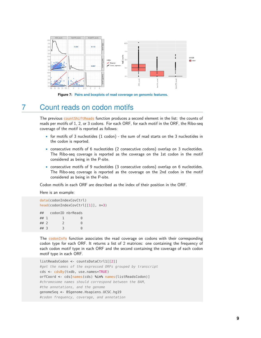

<span id="page-8-0"></span>**Figure 7: Pairs and boxplots of read coverage on genomic features.**

## 7 Count reads on codon motifs

The previous countShiftReads function produces a second element in the list: the counts of reads per motifs of 1, 2, or 3 codons. For each ORF, for each motif in the ORF, the Ribo-seq coverage of the motif is reported as follows:

- for motifs of 3 nucleotides (1 codon) the sum of read starts on the 3 nucleotides in the codon is reported.
- consecutive motifs of 6 nucleotides (2 consecutive codons) overlap on 3 nucleotides. The Ribo-seq coverage is reported as the coverage on the 1st codon in the motif considered as being in the P-site.
- consecutive motifs of 9 nucleotides (3 consecutive codons) overlap on 6 nucleotides. The Ribo-seq coverage is reported as the coverage on the 2nd codon in the motif considered as being in the P-site.

Codon motifs in each ORF are described as the index of their position in the ORF.

Here is an example:

```
data(codonIndexCovCtrl)
head(codonIndexCovCtrl[[1]], n=3)
## codonID nbrReads
\# \# 1 1 0
\# \# 2 2 0
## 3 3 0
```
The codonInfo function associates the read coverage on codons with their corresponding codon type for each ORF. It returns a list of 2 matrices: one containing the frequency of each codon motif type in each ORF and the second containing the coverage of each codon motif type in each ORF.

```
listReadsCodon <- countsDataCtrl1[[2]]
#get the names of the expressed ORFs grouped by transcript
cds <- cdsBy(txdb, use.names=TRUE)
orfCoord <- cds[names(cds) %in% names(listReadsCodon)]
#chromosome names should correspond between the BAM,
#the annotations, and the genome
genomeSeq <- BSgenome.Hsapiens.UCSC.hg19
#codon frequency, coverage, and annotation
```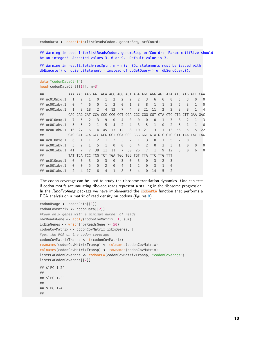codonData <- codonInfo(listReadsCodon, genomeSeq, orfCoord)

## Warning in codonInfo(listReadsCodon, genomeSeq, orfCoord): Param motifSize should be an integer! Accepted values 3, 6 or 9. Default value is 3.

## Warning in result\_fetch(res@ptr, n = n): SQL statements must be issued with dbExecute() or dbSendStatement() instead of dbGetQuery() or dbSendQuery().

```
data("codonDataCtrl")
head(codonDataCtrl[[1]], n=3)
```

| ## |                              |                |                |                 |                |                |                |                            |                |                                                     |                                                                     |                |               |                          |                  | AAA AAC AAG AAT ACA ACC ACG ACT AGA AGC AGG AGT ATA ATC ATG ATT CAA |                         |                         |
|----|------------------------------|----------------|----------------|-----------------|----------------|----------------|----------------|----------------------------|----------------|-----------------------------------------------------|---------------------------------------------------------------------|----------------|---------------|--------------------------|------------------|---------------------------------------------------------------------|-------------------------|-------------------------|
|    | ## uc010nxg.1                | 1              | $\overline{2}$ | $\mathbf{1}$    | $\Theta$       | 1              | $2^{\circ}$    | $\overline{2}$             | $\overline{2}$ | $\mathcal{P}$                                       | 3                                                                   | 6              | 6             | $\Theta$                 | 3                | 3                                                                   | $\Theta$                | $\Theta$                |
|    | ## uc001abv.1                | $\Theta$       | $\overline{4}$ | 6               | $\Theta$       | $\mathbf{1}$   | $\overline{3}$ | $\Theta$                   | 1              | 3                                                   | 8                                                                   |                |               | $\mathcal{P}$            | 5 <sup>1</sup>   | 3                                                                   |                         | $\Theta$                |
|    | $\# \#$ uc001abw.1           | $\mathbf{1}$   | 8              | 18              | $\mathcal{P}$  | $\overline{4}$ | 13             | $\overline{7}$             | $\overline{4}$ | 3                                                   | 21                                                                  | 11             | $\mathcal{P}$ | $\mathcal{P}$            | 8                | 8                                                                   |                         | 4                       |
|    | $\#$ #                       |                |                |                 |                |                |                |                            |                |                                                     |                                                                     |                |               |                          |                  | CAC CAG CAT CCA CCC CCG CCT CGA CGC CGG CGT CTA CTC CTG CTT GAA GAC |                         |                         |
|    | ## uc010nxq.1                | $\overline{7}$ |                | 5 <sub>2</sub>  | 3 <sup>7</sup> | 9              | $\Theta$       | $\overline{4}$             | $\Theta$       | $\Theta$                                            | $\Theta$                                                            | $\Theta$       | $\mathbf{1}$  | 3                        | 8                | $\mathcal{P}$                                                       | 1                       | $\overline{\mathbf{3}}$ |
|    | $\# \#$ uc001aby.1           |                |                |                 | 5 5 2 1 5 4    |                |                | $\overline{\phantom{a}}$ 2 |                | 4 3 5 1                                             |                                                                     |                | $\Theta$      | $\overline{\phantom{0}}$ | $6 \overline{6}$ | $\mathbf{1}$                                                        | $\mathbf{1}$            | 6                       |
|    | ## uc001abw.1 16             |                | 27             |                 | 6 14           | 45             | 13             | 12                         | 8 <sup>1</sup> | 10                                                  | 21                                                                  | 3 <sup>2</sup> |               | $1 \t13$                 | 56               |                                                                     | $5 -$<br>5 <sup>1</sup> | 22                      |
| ## |                              |                |                |                 |                |                |                |                            |                |                                                     | GAG GAT GCA GCC GCG GCT GGA GGC GGG GGT GTA GTC GTG GTT TAA TAC TAG |                |               |                          |                  |                                                                     |                         |                         |
|    |                              |                |                |                 |                |                |                |                            |                |                                                     |                                                                     |                |               |                          |                  |                                                                     |                         |                         |
|    | ## uc010nxg.1                | 6              |                |                 | 1 1 2          | $\mathbf{1}$   | 2              | 3                          | $\overline{2}$ | 1                                                   | 3                                                                   | $\Theta$       |               | 5                        | $\mathcal{L}$    | $\Theta$                                                            | 1                       | 1                       |
|    | $\# \#$ uc001aby.1           |                |                | $5 \t2 \t1 \t5$ |                | $\overline{1}$ | $\Theta$       | $\Theta$                   | 6              | $\overline{4}$                                      | $\mathcal{P}$                                                       | $\Theta$       | 3             | $\mathcal{L}$            |                  | $\Theta$                                                            | $\Theta$                | $\Theta$                |
|    | $\#$ # uc001abw.1            | 41             | $\overline{7}$ | $\overline{7}$  | 38             | 11             | 11             | $\overline{7}$             | 30             | 26                                                  | $\overline{7}$                                                      | $\mathbf{1}$   | $\mathbf{Q}$  | 12                       | $\mathcal{L}$    | $\Theta$                                                            | 6                       | $\Theta$                |
|    | $\#$ #                       |                |                |                 |                |                |                |                            |                | TAT TCA TCC TCG TCT TGA TGC TGG TGT TTA TTC TTG TTT |                                                                     |                |               |                          |                  |                                                                     |                         |                         |
|    | $\# \#$ uc $010n \times q.1$ | $\Theta$       | $\Theta$       | 3               | $\Theta$       | 3              | $\Theta$       | 3                          | $\Theta$       | 3                                                   | $\Theta$                                                            | 3              | $\mathcal{L}$ | $\overline{3}$           |                  |                                                                     |                         |                         |
|    | ## uc001abv.1                | $\Theta$       | $\Theta$       | 5               | $\Theta$       | $\mathcal{P}$  | $\Theta$       | $\overline{4}$             | $\mathbf{1}$   | $\mathcal{P}$                                       | $\Theta$                                                            | $\mathcal{L}$  |               | $\Theta$                 |                  |                                                                     |                         |                         |

The codon coverage can be used to study the ribosome translation dynamics. One can test if codon motifs accumulating ribo-seq reads represent a stalling in the ribosome progression. In the RiboProfiling package we have implemented the codonPCA function that performs a PCA analysis on a matrix of read density on codons (figures [8\)](#page-10-0).

```
codonUsage <- codonData[[1]]
codonCovMatrix <- codonData[[2]]
#keep only genes with a minimum number of reads
nbrReadsGene <- apply(codonCovMatrix, 1, sum)
ixExpGenes <- which(nbrReadsGene >= 50)
codonCovMatrix <- codonCovMatrix[ixExpGenes, ]
#get the PCA on the codon coverage
codonCovMatrixTransp <- t(codonCovMatrix)
rownames(codonCovMatrixTransp) <- colnames(codonCovMatrix)
colnames(codonCovMatrixTransp) <- rownames(codonCovMatrix)
listPCACodonCoverage <- codonPCA(codonCovMatrixTransp, "codonCoverage")
listPCACodonCoverage[[2]]
cotnames(cod<br>listPCACodon<br>listPCACodon<br>## $`PC_1-2`
##
## $`PC_1-3`
##
## $^{\circ}PC_1-3<sup>-</sup><br>##<br>## $^{\circ}PC_1-4<sup>-</sup>
##
```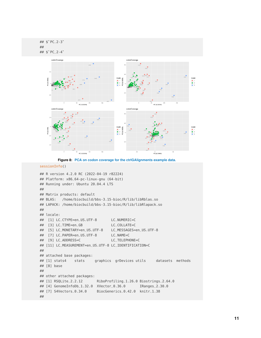

<span id="page-10-0"></span>**Figure 8: PCA on codon coverage for the ctrlGAlignments example data.**

```
sessionInfo()
```

```
## R version 4.2.0 RC (2022-04-19 r82224)
## Platform: x86_64-pc-linux-gnu (64-bit)
## Running under: Ubuntu 20.04.4 LTS
##
## Matrix products: default
## BLAS: /home/biocbuild/bbs-3.15-bioc/R/lib/libRblas.so
## LAPACK: /home/biocbuild/bbs-3.15-bioc/R/lib/libRlapack.so
##
## locale:
## [1] LC_CTYPE=en_US.UTF-8 LC_NUMERIC=C
## [3] LC_TIME=en_GB LC_COLLATE=C
## [5] LC_MONETARY=en_US.UTF-8 LC_MESSAGES=en_US.UTF-8
## [7] LC_PAPER=en_US.UTF-8 LC_NAME=C
## [9] LC_ADDRESS=C LC_TELEPHONE=C
## [11] LC_MEASUREMENT=en_US.UTF-8 LC_IDENTIFICATION=C
##
## attached base packages:
## [1] stats4 stats graphics grDevices utils datasets methods
## [8] base
##
## other attached packages:
## [1] RSQLite_2.2.12 RiboProfiling_1.26.0 Biostrings_2.64.0
## [4] GenomeInfoDb_1.32.0 XVector_0.36.0 IRanges_2.30.0
## [7] S4Vectors_0.34.0 BiocGenerics_0.42.0 knitr_1.38
##
```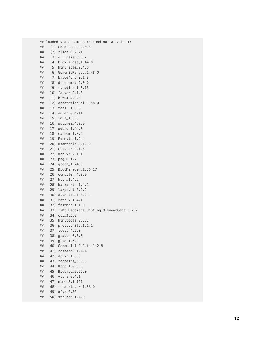```
## loaded via a namespace (and not attached):
## [1] colorspace
_2.0-3
## [2] rjson
_0.2.21
## [3] ellipsis
_0.3.2
## [4] biovizBase
_1.44.0
## [5] htmlTable
_2.4.0
## [6] GenomicRanges
_1.48.0
## [7] base64enc
_0.1-3
## [8] dichromat
_2.0-0
## [9] rstudioapi
_0.13
## [10] farver
_2.1.0
## [11] bit64
_4.0.5
## [12] AnnotationDbi
_1.58.0
## [13] fansi
_1.0.3
## [14] sqldf
_0.4-11
## [15] xml2
_1.3.3
## [16] splines
_4.2.0
## [17] ggbio
_1.44.0
## [18] cachem
_1.0.6
## [19] Formula
_1.2-4
## [20] Rsamtools
_2.12.0
## [21] cluster
_2.1.3
## [22] dbplyr
_2.1.1
## [23] png
_0.1-7
## [24] graph
_1.74.0
## [25] BiocManager
_1.30.17
## [26] compiler
_4.2.0
## [27] httr
_1.4.2
## [28] backports
_1.4.1
## [29] lazyeval
_0.2.2
## [30] assertthat
_0.2.1
## [31] Matrix
_1.4-1
## [32] fastmap
_1.1.0
## [33] TxDb.Hsapiens.UCSC.hg19.knownGene
_3.2.2
## [34] cli
_3.3.0
## [35] htmltools
_0.5.2
## [36] prettyunits
_1.1.1
## [37] tools
_4.2.0
## [38] gtable
_0.3.0
## [39] glue
_1.6.2
## [40] GenomeInfoDbData
_1.2.8
## [41] reshape2
_1.4.4
## [42] dplyr
_1.0.8
## [43] rappdirs
_0.3.3
## [44] Rcpp
_1.0.8.3
## [45] Biobase
_2.56.0
## [46] vctrs
_0.4.1
## [47] nlme
_3.1-157
## [48] rtracklayer
_1.56.0
## [49] xfun
_0.30
## [50] stringr
_1.4.0
```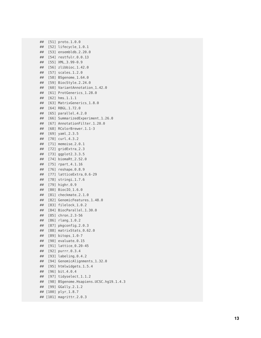```
## [51] proto
_1.0.0
## [52] lifecycle
_1.0.1
## [53] ensembldb
_2.20.0
## [54] restfulr
_0.0.13
## [55] XML
_3.99-0.9
## [56] zlibbioc
_1.42.0
## [57] scales
_1.2.0
## [58] BSgenome
_1.64.0
## [59] BiocStyle
_2.24.0
## [60] VariantAnnotation
_1.42.0
## [61] ProtGenerics
_1.28.0
## [62] hms
_1.1.1
## [63] MatrixGenerics
_1.8.0
## [64] RBGL
_1.72.0
## [65] parallel
_4.2.0
## [66] SummarizedExperiment
_1.26.0
## [67] AnnotationFilter
_1.20.0
## [68] RColorBrewer
_1.1-3
## [69] yaml
_2.3.5
## [70] curl
_4.3.2
## [71] memoise
_2.0.1
## [72] gridExtra
_2.3
## [73] ggplot2
_3.3.5
## [74] biomaRt
_2.52.0
## [75] rpart
_4.1.16
## [76] reshape
_0.8.9
## [77] latticeExtra
_0.6-29
## [78] stringi
_1.7.6
## [79] highr
_0.9
## [80] BiocIO
_1.6.0
## [81] checkmate
_2.1.0
## [82] GenomicFeatures
_1.48.0
## [83] filelock
_1.0.2
## [84] BiocParallel
_1.30.0
## [85] chron
_2.3-56
## [86] rlang
_1.0.2
## [87] pkgconfig
_2.0.3
## [88] matrixStats
_0.62.0
## [89] bitops
_1.0-7
## [90] evaluate
_0.15
## [91] lattice
_0.20-45
## [92] purrr
_0.3.4
## [93] labeling
_0.4.2
## [94] GenomicAlignments
_1.32.0
## [95] htmlwidgets
_1.5.4
## [96] bit
_4.0.4
## [97] tidyselect
_1.1.2
## [98] BSgenome.Hsapiens.UCSC.hg19
_1.4.3
## [99] GGally
_2.1.2
## [100] plyr
_1.8.7
## [101] magrittr
_2.0.3
```